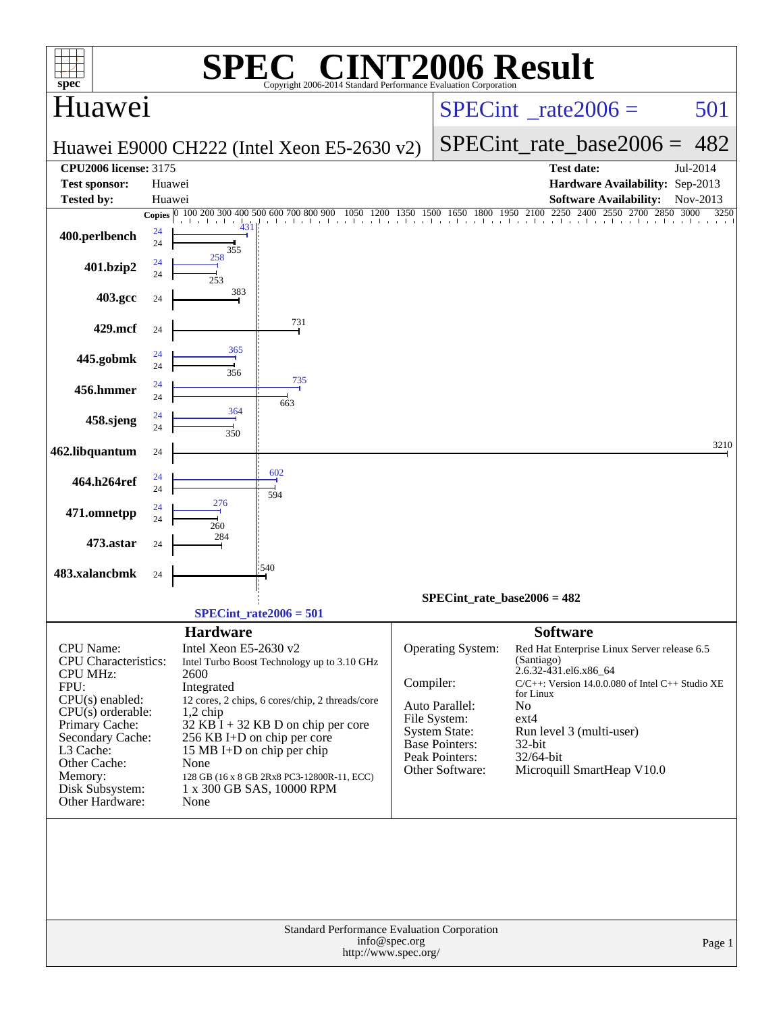| $spec^*$                                                                                                                                                                                                                                   | $\blacksquare$<br>Copyright 2006-2014 Standard Performance Evaluation Corporation                                                                                                                                                                                                                                                                                              | <b>INT2006 Result</b>                                                                                                                                                                                                                                                                                                                                                                                                                                   |
|--------------------------------------------------------------------------------------------------------------------------------------------------------------------------------------------------------------------------------------------|--------------------------------------------------------------------------------------------------------------------------------------------------------------------------------------------------------------------------------------------------------------------------------------------------------------------------------------------------------------------------------|---------------------------------------------------------------------------------------------------------------------------------------------------------------------------------------------------------------------------------------------------------------------------------------------------------------------------------------------------------------------------------------------------------------------------------------------------------|
| Huawei                                                                                                                                                                                                                                     |                                                                                                                                                                                                                                                                                                                                                                                | 501<br>$SPECint^{\circ}$ rate $2006 =$                                                                                                                                                                                                                                                                                                                                                                                                                  |
|                                                                                                                                                                                                                                            | Huawei E9000 CH222 (Intel Xeon E5-2630 v2)                                                                                                                                                                                                                                                                                                                                     | $SPECint_rate\_base2006 =$<br>482                                                                                                                                                                                                                                                                                                                                                                                                                       |
| <b>CPU2006</b> license: 3175                                                                                                                                                                                                               |                                                                                                                                                                                                                                                                                                                                                                                | <b>Test date:</b><br>Jul-2014                                                                                                                                                                                                                                                                                                                                                                                                                           |
| <b>Test sponsor:</b>                                                                                                                                                                                                                       | Huawei                                                                                                                                                                                                                                                                                                                                                                         | Hardware Availability: Sep-2013                                                                                                                                                                                                                                                                                                                                                                                                                         |
| <b>Tested by:</b>                                                                                                                                                                                                                          | Huawei                                                                                                                                                                                                                                                                                                                                                                         | <b>Software Availability:</b><br>Nov-2013                                                                                                                                                                                                                                                                                                                                                                                                               |
|                                                                                                                                                                                                                                            | Copies 0 100 200 300 400 500 600 700 800 900<br>.                                                                                                                                                                                                                                                                                                                              | 00 1050 1200 1350 1500 1650 1800 1950 2100 2250 2400 2550 2700 2850 3000<br>3250                                                                                                                                                                                                                                                                                                                                                                        |
| 400.perlbench                                                                                                                                                                                                                              | 24<br>24<br>355                                                                                                                                                                                                                                                                                                                                                                |                                                                                                                                                                                                                                                                                                                                                                                                                                                         |
| 401.bzip2                                                                                                                                                                                                                                  | 258<br>24<br>24<br>253                                                                                                                                                                                                                                                                                                                                                         |                                                                                                                                                                                                                                                                                                                                                                                                                                                         |
| 403.gcc                                                                                                                                                                                                                                    | 383<br>24                                                                                                                                                                                                                                                                                                                                                                      |                                                                                                                                                                                                                                                                                                                                                                                                                                                         |
| 429.mcf                                                                                                                                                                                                                                    | 731<br>24                                                                                                                                                                                                                                                                                                                                                                      |                                                                                                                                                                                                                                                                                                                                                                                                                                                         |
| 445.gobmk                                                                                                                                                                                                                                  | 365<br>24<br>24<br>356                                                                                                                                                                                                                                                                                                                                                         |                                                                                                                                                                                                                                                                                                                                                                                                                                                         |
| 456.hmmer                                                                                                                                                                                                                                  | 735<br>24<br>24<br>663                                                                                                                                                                                                                                                                                                                                                         |                                                                                                                                                                                                                                                                                                                                                                                                                                                         |
| 458.sjeng                                                                                                                                                                                                                                  | 364<br>24<br>24<br>350                                                                                                                                                                                                                                                                                                                                                         |                                                                                                                                                                                                                                                                                                                                                                                                                                                         |
| 462.libquantum                                                                                                                                                                                                                             | 24                                                                                                                                                                                                                                                                                                                                                                             | 3210                                                                                                                                                                                                                                                                                                                                                                                                                                                    |
| 464.h264ref                                                                                                                                                                                                                                | 602<br>24<br>24<br>594                                                                                                                                                                                                                                                                                                                                                         |                                                                                                                                                                                                                                                                                                                                                                                                                                                         |
| 471.omnetpp                                                                                                                                                                                                                                | 276<br>24<br>24<br>260                                                                                                                                                                                                                                                                                                                                                         |                                                                                                                                                                                                                                                                                                                                                                                                                                                         |
| 473.astar                                                                                                                                                                                                                                  | 284<br>24                                                                                                                                                                                                                                                                                                                                                                      |                                                                                                                                                                                                                                                                                                                                                                                                                                                         |
| 483.xalancbmk                                                                                                                                                                                                                              | :540<br>24                                                                                                                                                                                                                                                                                                                                                                     |                                                                                                                                                                                                                                                                                                                                                                                                                                                         |
|                                                                                                                                                                                                                                            | $SPECint_rate2006 = 501$                                                                                                                                                                                                                                                                                                                                                       | SPECint rate base2006 = $482$                                                                                                                                                                                                                                                                                                                                                                                                                           |
| <b>CPU</b> Name:<br><b>CPU</b> Characteristics:<br><b>CPU MHz:</b><br>FPU:<br>$CPU(s)$ enabled:<br>$CPU(s)$ orderable:<br>Primary Cache:<br>Secondary Cache:<br>L3 Cache:<br>Other Cache:<br>Memory:<br>Disk Subsystem:<br>Other Hardware: | <b>Hardware</b><br>Intel Xeon E5-2630 v2<br>Intel Turbo Boost Technology up to 3.10 GHz<br>2600<br>Integrated<br>12 cores, 2 chips, 6 cores/chip, 2 threads/core<br>$1,2$ chip<br>$32$ KB I + 32 KB D on chip per core<br>256 KB I+D on chip per core<br>15 MB I+D on chip per chip<br>None<br>128 GB (16 x 8 GB 2Rx8 PC3-12800R-11, ECC)<br>1 x 300 GB SAS, 10000 RPM<br>None | <b>Software</b><br>Operating System:<br>Red Hat Enterprise Linux Server release 6.5<br>(Santiago)<br>2.6.32-431.el6.x86_64<br>Compiler:<br>$C/C++$ : Version 14.0.0.080 of Intel $C++$ Studio XE<br>for Linux<br>Auto Parallel:<br>N <sub>o</sub><br>File System:<br>$ext{4}$<br><b>System State:</b><br>Run level 3 (multi-user)<br><b>Base Pointers:</b><br>$32$ -bit<br>Peak Pointers:<br>32/64-bit<br>Microquill SmartHeap V10.0<br>Other Software: |
|                                                                                                                                                                                                                                            | Standard Performance Evaluation Corporation<br>info@spec.org<br>http://www.spec.org/                                                                                                                                                                                                                                                                                           | Page 1                                                                                                                                                                                                                                                                                                                                                                                                                                                  |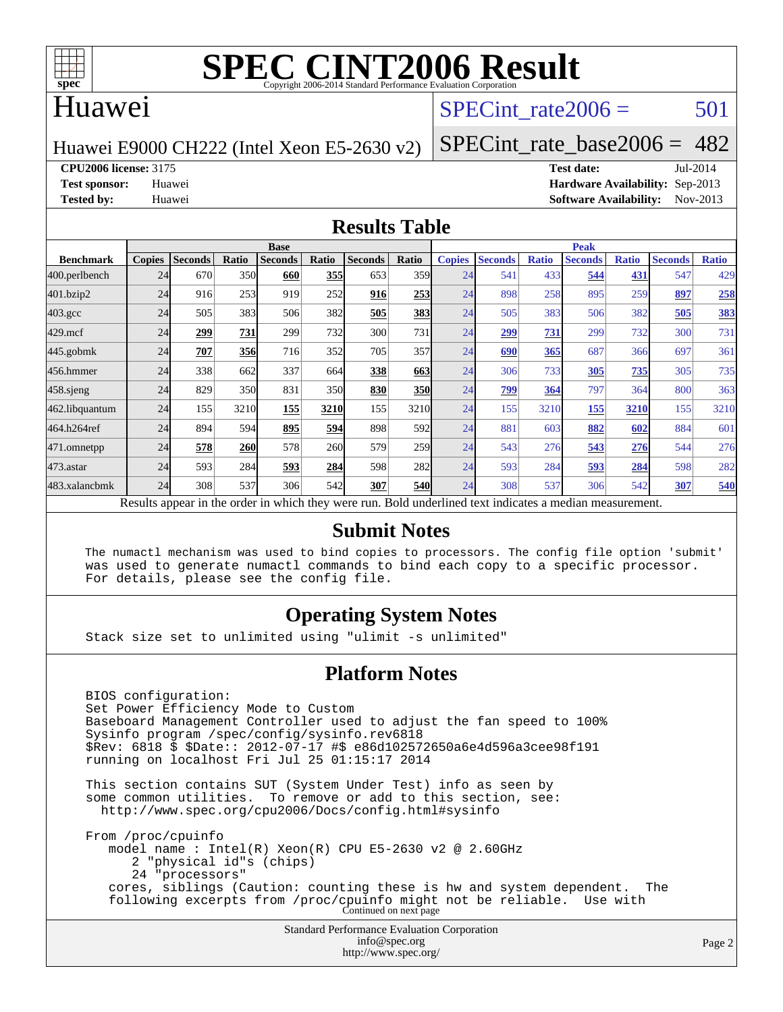

### Huawei

### SPECint rate $2006 = 501$

Huawei E9000 CH222 (Intel Xeon E5-2630 v2)

[SPECint\\_rate\\_base2006 =](http://www.spec.org/auto/cpu2006/Docs/result-fields.html#SPECintratebase2006)  $482$ 

**[CPU2006 license:](http://www.spec.org/auto/cpu2006/Docs/result-fields.html#CPU2006license)** 3175 **[Test date:](http://www.spec.org/auto/cpu2006/Docs/result-fields.html#Testdate)** Jul-2014

**[Test sponsor:](http://www.spec.org/auto/cpu2006/Docs/result-fields.html#Testsponsor)** Huawei **[Hardware Availability:](http://www.spec.org/auto/cpu2006/Docs/result-fields.html#HardwareAvailability)** Sep-2013 **[Tested by:](http://www.spec.org/auto/cpu2006/Docs/result-fields.html#Testedby)** Huawei **[Software Availability:](http://www.spec.org/auto/cpu2006/Docs/result-fields.html#SoftwareAvailability)** Nov-2013

#### **[Results Table](http://www.spec.org/auto/cpu2006/Docs/result-fields.html#ResultsTable)**

|                                                                                                          | <b>Base</b>   |                |       |                |                 |                |            | <b>Peak</b>   |                |              |                |              |                |              |
|----------------------------------------------------------------------------------------------------------|---------------|----------------|-------|----------------|-----------------|----------------|------------|---------------|----------------|--------------|----------------|--------------|----------------|--------------|
| <b>Benchmark</b>                                                                                         | <b>Copies</b> | <b>Seconds</b> | Ratio | <b>Seconds</b> | Ratio           | <b>Seconds</b> | Ratio      | <b>Copies</b> | <b>Seconds</b> | <b>Ratio</b> | <b>Seconds</b> | <b>Ratio</b> | <b>Seconds</b> | <b>Ratio</b> |
| 400.perlbench                                                                                            | 24            | 670            | 350l  | 660            | 355             | 653            | 359        | 24            | 541            | 433          | 544            | 431          | 547            | 429          |
| 401.bzip2                                                                                                | 24            | 916            | 253   | 919            | 252             | 916            | 253        | 24            | 898            | 258          | 895            | 259          | 897            | 258          |
| $403.\mathrm{gcc}$                                                                                       | 24            | 505            | 383   | 506            | 382             | 505            | 383        | 24            | 505            | 383          | 506            | 382          | 505            | <u>383</u>   |
| $429$ .mcf                                                                                               | 24            | 299            | 731   | 299            | 732             | 300            | 731        | 24            | 299            | 731          | 299            | 732          | 300            | 731          |
| $445$ .gobmk                                                                                             | 24            | 707            | 356   | 716            | 352             | 705            | 357        | 24            | 690            | 365          | 687            | 366          | 697            | 361          |
| 456.hmmer                                                                                                | 24            | 338            | 662   | 337            | 664             | 338            | 663        | 24            | 306            | 733          | 305            | 735          | 305            | 735          |
| 458 sjeng                                                                                                | 24            | 829            | 350   | 831            | 35 <sub>0</sub> | 830            | <b>350</b> | 24            | 799            | 364          | 797            | 364          | 800            | 363          |
| 462.libquantum                                                                                           | 24            | 155            | 3210  | 155            | 3210            | 155            | 3210       | 24            | 155            | 3210         | 155            | 3210         | 155            | 3210         |
| 464.h264ref                                                                                              | 24            | 894            | 594   | 895            | 594             | 898            | 592l       | 24            | 881            | 603          | 882            | 602          | 884            | 601          |
| 471.omnetpp                                                                                              | 24            | 578            | 260   | 578            | 260             | 579            | <b>259</b> | 24            | 543            | 276          | 543            | 276          | 544            | 276          |
| $473.$ astar                                                                                             | 24            | 593            | 284   | 593            | 284             | 598            | 282l       | 24            | 593            | 284          | 593            | 284          | 598            | 282          |
| 483.xalancbmk                                                                                            | 24            | 308            | 537   | 306            | 542             | 307            | <b>540</b> | 24            | 308            | 537          | 306            | 542          | 307            | 540          |
| Results appear in the order in which they were run. Bold underlined text indicates a median measurement. |               |                |       |                |                 |                |            |               |                |              |                |              |                |              |

#### **[Submit Notes](http://www.spec.org/auto/cpu2006/Docs/result-fields.html#SubmitNotes)**

 The numactl mechanism was used to bind copies to processors. The config file option 'submit' was used to generate numactl commands to bind each copy to a specific processor. For details, please see the config file.

#### **[Operating System Notes](http://www.spec.org/auto/cpu2006/Docs/result-fields.html#OperatingSystemNotes)**

Stack size set to unlimited using "ulimit -s unlimited"

#### **[Platform Notes](http://www.spec.org/auto/cpu2006/Docs/result-fields.html#PlatformNotes)**

 BIOS configuration: Set Power Efficiency Mode to Custom Baseboard Management Controller used to adjust the fan speed to 100% Sysinfo program /spec/config/sysinfo.rev6818 \$Rev: 6818 \$ \$Date:: 2012-07-17 #\$ e86d102572650a6e4d596a3cee98f191 running on localhost Fri Jul 25 01:15:17 2014 This section contains SUT (System Under Test) info as seen by some common utilities. To remove or add to this section, see:

 <http://www.spec.org/cpu2006/Docs/config.html#sysinfo> From /proc/cpuinfo

 model name : Intel(R) Xeon(R) CPU E5-2630 v2 @ 2.60GHz 2 "physical id"s (chips) 24 "processors" cores, siblings (Caution: counting these is hw and system dependent. The following excerpts from /proc/cpuinfo might not be reliable. Use with Continued on next page

> Standard Performance Evaluation Corporation [info@spec.org](mailto:info@spec.org) <http://www.spec.org/>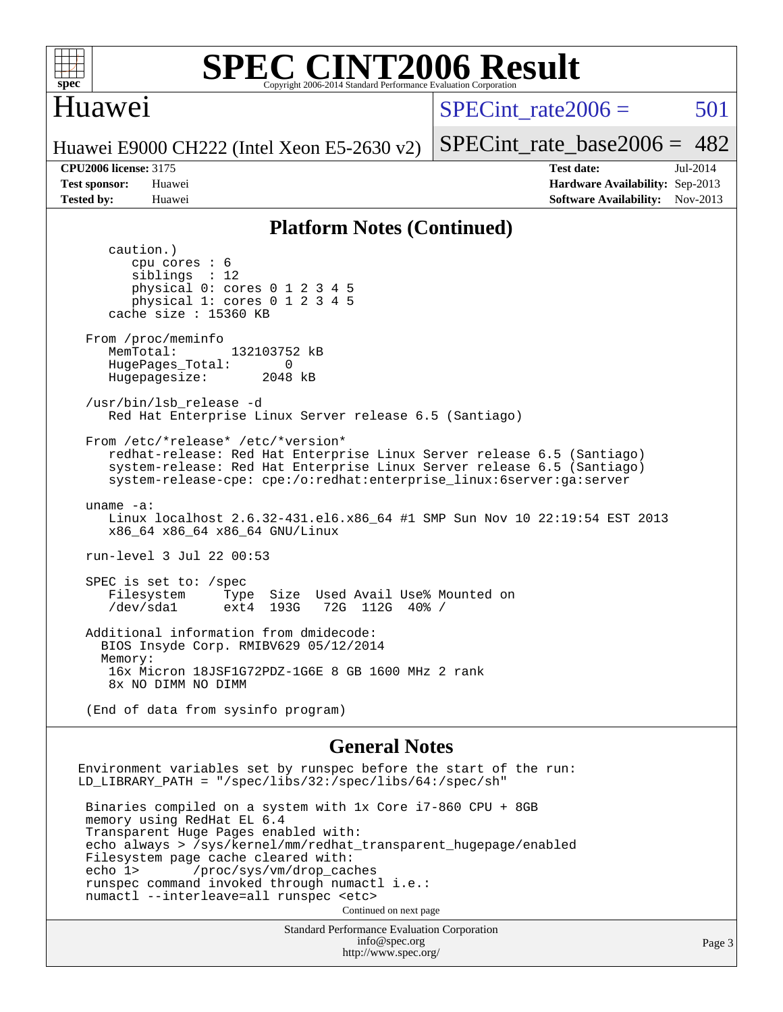

## Huawei

 $SPECint rate2006 = 501$ 

Page 3

Huawei E9000 CH222 (Intel Xeon E5-2630 v2)

[SPECint\\_rate\\_base2006 =](http://www.spec.org/auto/cpu2006/Docs/result-fields.html#SPECintratebase2006)  $482$ 

caution.)

**[CPU2006 license:](http://www.spec.org/auto/cpu2006/Docs/result-fields.html#CPU2006license)** 3175 **[Test date:](http://www.spec.org/auto/cpu2006/Docs/result-fields.html#Testdate)** Jul-2014 **[Test sponsor:](http://www.spec.org/auto/cpu2006/Docs/result-fields.html#Testsponsor)** Huawei **[Hardware Availability:](http://www.spec.org/auto/cpu2006/Docs/result-fields.html#HardwareAvailability)** Sep-2013 **[Tested by:](http://www.spec.org/auto/cpu2006/Docs/result-fields.html#Testedby)** Huawei **[Software Availability:](http://www.spec.org/auto/cpu2006/Docs/result-fields.html#SoftwareAvailability)** Nov-2013

#### **[Platform Notes \(Continued\)](http://www.spec.org/auto/cpu2006/Docs/result-fields.html#PlatformNotes)**

Standard Performance Evaluation Corporation [info@spec.org](mailto:info@spec.org) <http://www.spec.org/> cpu cores : 6 siblings : 12 physical 0: cores 0 1 2 3 4 5 physical 1: cores 0 1 2 3 4 5 cache size : 15360 KB From /proc/meminfo MemTotal: 132103752 kB HugePages\_Total: 0<br>Hugepagesize: 2048 kB Hugepagesize: /usr/bin/lsb\_release -d Red Hat Enterprise Linux Server release 6.5 (Santiago) From /etc/\*release\* /etc/\*version\* redhat-release: Red Hat Enterprise Linux Server release 6.5 (Santiago) system-release: Red Hat Enterprise Linux Server release 6.5 (Santiago) system-release-cpe: cpe:/o:redhat:enterprise\_linux:6server:ga:server uname -a: Linux localhost 2.6.32-431.el6.x86\_64 #1 SMP Sun Nov 10 22:19:54 EST 2013 x86\_64 x86\_64 x86\_64 GNU/Linux run-level 3 Jul 22 00:53 SPEC is set to: /spec<br>Filesystem Type Filesystem Type Size Used Avail Use% Mounted on 72G 112G 40% / Additional information from dmidecode: BIOS Insyde Corp. RMIBV629 05/12/2014 Memory: 16x Micron 18JSF1G72PDZ-1G6E 8 GB 1600 MHz 2 rank 8x NO DIMM NO DIMM (End of data from sysinfo program) **[General Notes](http://www.spec.org/auto/cpu2006/Docs/result-fields.html#GeneralNotes)** Environment variables set by runspec before the start of the run: LD\_LIBRARY\_PATH = "/spec/libs/32:/spec/libs/64:/spec/sh" Binaries compiled on a system with 1x Core i7-860 CPU + 8GB memory using RedHat EL 6.4 Transparent Huge Pages enabled with: echo always > /sys/kernel/mm/redhat\_transparent\_hugepage/enabled Filesystem page cache cleared with: echo 1> /proc/sys/vm/drop\_caches runspec command invoked through numactl i.e.: numactl --interleave=all runspec <etc> Continued on next page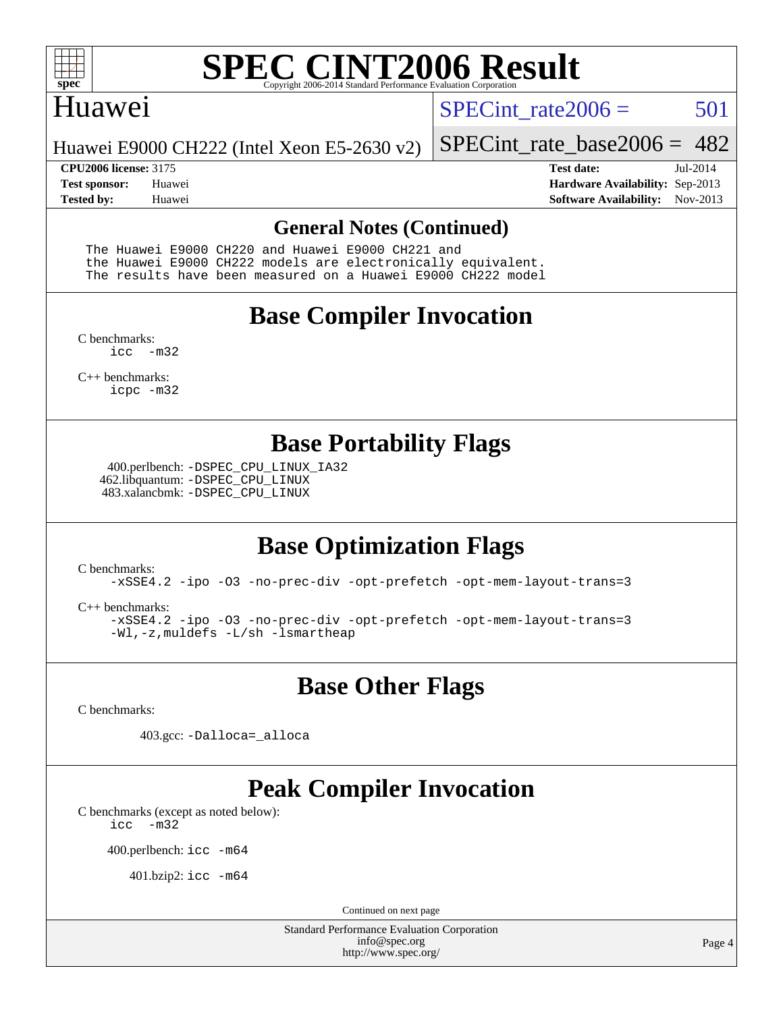

### Huawei

SPECint rate $2006 = 501$ 

[SPECint\\_rate\\_base2006 =](http://www.spec.org/auto/cpu2006/Docs/result-fields.html#SPECintratebase2006)  $482$ 

Huawei E9000 CH222 (Intel Xeon E5-2630 v2)

**[Tested by:](http://www.spec.org/auto/cpu2006/Docs/result-fields.html#Testedby)** Huawei **[Software Availability:](http://www.spec.org/auto/cpu2006/Docs/result-fields.html#SoftwareAvailability)** Nov-2013

**[CPU2006 license:](http://www.spec.org/auto/cpu2006/Docs/result-fields.html#CPU2006license)** 3175 **[Test date:](http://www.spec.org/auto/cpu2006/Docs/result-fields.html#Testdate)** Jul-2014 **[Test sponsor:](http://www.spec.org/auto/cpu2006/Docs/result-fields.html#Testsponsor)** Huawei **[Hardware Availability:](http://www.spec.org/auto/cpu2006/Docs/result-fields.html#HardwareAvailability)** Sep-2013

#### **[General Notes \(Continued\)](http://www.spec.org/auto/cpu2006/Docs/result-fields.html#GeneralNotes)**

 The Huawei E9000 CH220 and Huawei E9000 CH221 and the Huawei E9000 CH222 models are electronically equivalent. The results have been measured on a Huawei E9000 CH222 model

## **[Base Compiler Invocation](http://www.spec.org/auto/cpu2006/Docs/result-fields.html#BaseCompilerInvocation)**

[C benchmarks](http://www.spec.org/auto/cpu2006/Docs/result-fields.html#Cbenchmarks): [icc -m32](http://www.spec.org/cpu2006/results/res2014q3/cpu2006-20140729-30691.flags.html#user_CCbase_intel_icc_5ff4a39e364c98233615fdd38438c6f2)

[C++ benchmarks:](http://www.spec.org/auto/cpu2006/Docs/result-fields.html#CXXbenchmarks) [icpc -m32](http://www.spec.org/cpu2006/results/res2014q3/cpu2006-20140729-30691.flags.html#user_CXXbase_intel_icpc_4e5a5ef1a53fd332b3c49e69c3330699)

## **[Base Portability Flags](http://www.spec.org/auto/cpu2006/Docs/result-fields.html#BasePortabilityFlags)**

 400.perlbench: [-DSPEC\\_CPU\\_LINUX\\_IA32](http://www.spec.org/cpu2006/results/res2014q3/cpu2006-20140729-30691.flags.html#b400.perlbench_baseCPORTABILITY_DSPEC_CPU_LINUX_IA32) 462.libquantum: [-DSPEC\\_CPU\\_LINUX](http://www.spec.org/cpu2006/results/res2014q3/cpu2006-20140729-30691.flags.html#b462.libquantum_baseCPORTABILITY_DSPEC_CPU_LINUX) 483.xalancbmk: [-DSPEC\\_CPU\\_LINUX](http://www.spec.org/cpu2006/results/res2014q3/cpu2006-20140729-30691.flags.html#b483.xalancbmk_baseCXXPORTABILITY_DSPEC_CPU_LINUX)

# **[Base Optimization Flags](http://www.spec.org/auto/cpu2006/Docs/result-fields.html#BaseOptimizationFlags)**

[C benchmarks](http://www.spec.org/auto/cpu2006/Docs/result-fields.html#Cbenchmarks):

[-xSSE4.2](http://www.spec.org/cpu2006/results/res2014q3/cpu2006-20140729-30691.flags.html#user_CCbase_f-xSSE42_f91528193cf0b216347adb8b939d4107) [-ipo](http://www.spec.org/cpu2006/results/res2014q3/cpu2006-20140729-30691.flags.html#user_CCbase_f-ipo) [-O3](http://www.spec.org/cpu2006/results/res2014q3/cpu2006-20140729-30691.flags.html#user_CCbase_f-O3) [-no-prec-div](http://www.spec.org/cpu2006/results/res2014q3/cpu2006-20140729-30691.flags.html#user_CCbase_f-no-prec-div) [-opt-prefetch](http://www.spec.org/cpu2006/results/res2014q3/cpu2006-20140729-30691.flags.html#user_CCbase_f-opt-prefetch) [-opt-mem-layout-trans=3](http://www.spec.org/cpu2006/results/res2014q3/cpu2006-20140729-30691.flags.html#user_CCbase_f-opt-mem-layout-trans_a7b82ad4bd7abf52556d4961a2ae94d5)

[C++ benchmarks:](http://www.spec.org/auto/cpu2006/Docs/result-fields.html#CXXbenchmarks)

[-xSSE4.2](http://www.spec.org/cpu2006/results/res2014q3/cpu2006-20140729-30691.flags.html#user_CXXbase_f-xSSE42_f91528193cf0b216347adb8b939d4107) [-ipo](http://www.spec.org/cpu2006/results/res2014q3/cpu2006-20140729-30691.flags.html#user_CXXbase_f-ipo) [-O3](http://www.spec.org/cpu2006/results/res2014q3/cpu2006-20140729-30691.flags.html#user_CXXbase_f-O3) [-no-prec-div](http://www.spec.org/cpu2006/results/res2014q3/cpu2006-20140729-30691.flags.html#user_CXXbase_f-no-prec-div) [-opt-prefetch](http://www.spec.org/cpu2006/results/res2014q3/cpu2006-20140729-30691.flags.html#user_CXXbase_f-opt-prefetch) [-opt-mem-layout-trans=3](http://www.spec.org/cpu2006/results/res2014q3/cpu2006-20140729-30691.flags.html#user_CXXbase_f-opt-mem-layout-trans_a7b82ad4bd7abf52556d4961a2ae94d5) [-Wl,-z,muldefs](http://www.spec.org/cpu2006/results/res2014q3/cpu2006-20140729-30691.flags.html#user_CXXbase_link_force_multiple1_74079c344b956b9658436fd1b6dd3a8a) [-L/sh -lsmartheap](http://www.spec.org/cpu2006/results/res2014q3/cpu2006-20140729-30691.flags.html#user_CXXbase_SmartHeap_32f6c82aa1ed9c52345d30cf6e4a0499)

**[Base Other Flags](http://www.spec.org/auto/cpu2006/Docs/result-fields.html#BaseOtherFlags)**

[C benchmarks](http://www.spec.org/auto/cpu2006/Docs/result-fields.html#Cbenchmarks):

403.gcc: [-Dalloca=\\_alloca](http://www.spec.org/cpu2006/results/res2014q3/cpu2006-20140729-30691.flags.html#b403.gcc_baseEXTRA_CFLAGS_Dalloca_be3056838c12de2578596ca5467af7f3)

# **[Peak Compiler Invocation](http://www.spec.org/auto/cpu2006/Docs/result-fields.html#PeakCompilerInvocation)**

[C benchmarks \(except as noted below\)](http://www.spec.org/auto/cpu2006/Docs/result-fields.html#Cbenchmarksexceptasnotedbelow): [icc -m32](http://www.spec.org/cpu2006/results/res2014q3/cpu2006-20140729-30691.flags.html#user_CCpeak_intel_icc_5ff4a39e364c98233615fdd38438c6f2)

400.perlbench: [icc -m64](http://www.spec.org/cpu2006/results/res2014q3/cpu2006-20140729-30691.flags.html#user_peakCCLD400_perlbench_intel_icc_64bit_bda6cc9af1fdbb0edc3795bac97ada53)

401.bzip2: [icc -m64](http://www.spec.org/cpu2006/results/res2014q3/cpu2006-20140729-30691.flags.html#user_peakCCLD401_bzip2_intel_icc_64bit_bda6cc9af1fdbb0edc3795bac97ada53)

Continued on next page

Standard Performance Evaluation Corporation [info@spec.org](mailto:info@spec.org) <http://www.spec.org/>

Page 4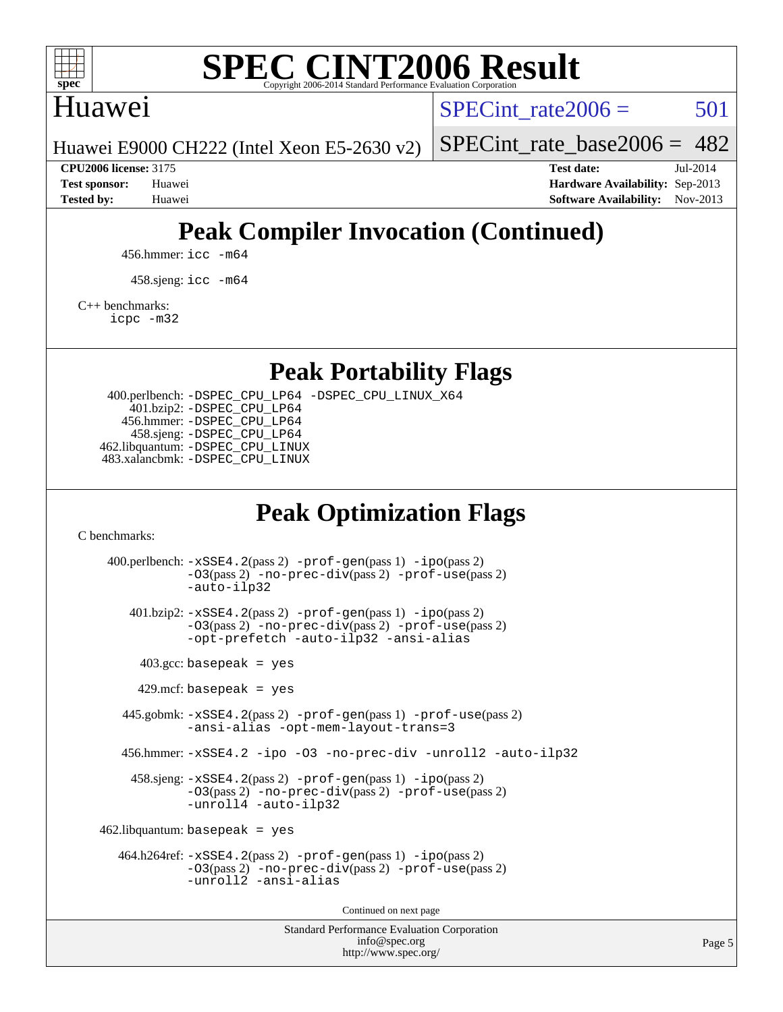

## Huawei

SPECint rate $2006 = 501$ 

[SPECint\\_rate\\_base2006 =](http://www.spec.org/auto/cpu2006/Docs/result-fields.html#SPECintratebase2006)  $482$ 

Huawei E9000 CH222 (Intel Xeon E5-2630 v2)

**[CPU2006 license:](http://www.spec.org/auto/cpu2006/Docs/result-fields.html#CPU2006license)** 3175 **[Test date:](http://www.spec.org/auto/cpu2006/Docs/result-fields.html#Testdate)** Jul-2014 **[Test sponsor:](http://www.spec.org/auto/cpu2006/Docs/result-fields.html#Testsponsor)** Huawei **[Hardware Availability:](http://www.spec.org/auto/cpu2006/Docs/result-fields.html#HardwareAvailability)** Sep-2013 **[Tested by:](http://www.spec.org/auto/cpu2006/Docs/result-fields.html#Testedby)** Huawei **[Software Availability:](http://www.spec.org/auto/cpu2006/Docs/result-fields.html#SoftwareAvailability)** Nov-2013

# **[Peak Compiler Invocation \(Continued\)](http://www.spec.org/auto/cpu2006/Docs/result-fields.html#PeakCompilerInvocation)**

456.hmmer: [icc -m64](http://www.spec.org/cpu2006/results/res2014q3/cpu2006-20140729-30691.flags.html#user_peakCCLD456_hmmer_intel_icc_64bit_bda6cc9af1fdbb0edc3795bac97ada53)

458.sjeng: [icc -m64](http://www.spec.org/cpu2006/results/res2014q3/cpu2006-20140729-30691.flags.html#user_peakCCLD458_sjeng_intel_icc_64bit_bda6cc9af1fdbb0edc3795bac97ada53)

[C++ benchmarks:](http://www.spec.org/auto/cpu2006/Docs/result-fields.html#CXXbenchmarks)

[icpc -m32](http://www.spec.org/cpu2006/results/res2014q3/cpu2006-20140729-30691.flags.html#user_CXXpeak_intel_icpc_4e5a5ef1a53fd332b3c49e69c3330699)

**[Peak Portability Flags](http://www.spec.org/auto/cpu2006/Docs/result-fields.html#PeakPortabilityFlags)**

 400.perlbench: [-DSPEC\\_CPU\\_LP64](http://www.spec.org/cpu2006/results/res2014q3/cpu2006-20140729-30691.flags.html#b400.perlbench_peakCPORTABILITY_DSPEC_CPU_LP64) [-DSPEC\\_CPU\\_LINUX\\_X64](http://www.spec.org/cpu2006/results/res2014q3/cpu2006-20140729-30691.flags.html#b400.perlbench_peakCPORTABILITY_DSPEC_CPU_LINUX_X64) 401.bzip2: [-DSPEC\\_CPU\\_LP64](http://www.spec.org/cpu2006/results/res2014q3/cpu2006-20140729-30691.flags.html#suite_peakCPORTABILITY401_bzip2_DSPEC_CPU_LP64) 456.hmmer: [-DSPEC\\_CPU\\_LP64](http://www.spec.org/cpu2006/results/res2014q3/cpu2006-20140729-30691.flags.html#suite_peakCPORTABILITY456_hmmer_DSPEC_CPU_LP64) 458.sjeng: [-DSPEC\\_CPU\\_LP64](http://www.spec.org/cpu2006/results/res2014q3/cpu2006-20140729-30691.flags.html#suite_peakCPORTABILITY458_sjeng_DSPEC_CPU_LP64) 462.libquantum: [-DSPEC\\_CPU\\_LINUX](http://www.spec.org/cpu2006/results/res2014q3/cpu2006-20140729-30691.flags.html#b462.libquantum_peakCPORTABILITY_DSPEC_CPU_LINUX) 483.xalancbmk: [-DSPEC\\_CPU\\_LINUX](http://www.spec.org/cpu2006/results/res2014q3/cpu2006-20140729-30691.flags.html#b483.xalancbmk_peakCXXPORTABILITY_DSPEC_CPU_LINUX)

## **[Peak Optimization Flags](http://www.spec.org/auto/cpu2006/Docs/result-fields.html#PeakOptimizationFlags)**

[C benchmarks](http://www.spec.org/auto/cpu2006/Docs/result-fields.html#Cbenchmarks):

Standard Performance Evaluation Corporation 400.perlbench: [-xSSE4.2](http://www.spec.org/cpu2006/results/res2014q3/cpu2006-20140729-30691.flags.html#user_peakPASS2_CFLAGSPASS2_LDCFLAGS400_perlbench_f-xSSE42_f91528193cf0b216347adb8b939d4107)(pass 2) [-prof-gen](http://www.spec.org/cpu2006/results/res2014q3/cpu2006-20140729-30691.flags.html#user_peakPASS1_CFLAGSPASS1_LDCFLAGS400_perlbench_prof_gen_e43856698f6ca7b7e442dfd80e94a8fc)(pass 1) [-ipo](http://www.spec.org/cpu2006/results/res2014q3/cpu2006-20140729-30691.flags.html#user_peakPASS2_CFLAGSPASS2_LDCFLAGS400_perlbench_f-ipo)(pass 2) [-O3](http://www.spec.org/cpu2006/results/res2014q3/cpu2006-20140729-30691.flags.html#user_peakPASS2_CFLAGSPASS2_LDCFLAGS400_perlbench_f-O3)(pass 2) [-no-prec-div](http://www.spec.org/cpu2006/results/res2014q3/cpu2006-20140729-30691.flags.html#user_peakPASS2_CFLAGSPASS2_LDCFLAGS400_perlbench_f-no-prec-div)(pass 2) [-prof-use](http://www.spec.org/cpu2006/results/res2014q3/cpu2006-20140729-30691.flags.html#user_peakPASS2_CFLAGSPASS2_LDCFLAGS400_perlbench_prof_use_bccf7792157ff70d64e32fe3e1250b55)(pass 2) [-auto-ilp32](http://www.spec.org/cpu2006/results/res2014q3/cpu2006-20140729-30691.flags.html#user_peakCOPTIMIZE400_perlbench_f-auto-ilp32) 401.bzip2: [-xSSE4.2](http://www.spec.org/cpu2006/results/res2014q3/cpu2006-20140729-30691.flags.html#user_peakPASS2_CFLAGSPASS2_LDCFLAGS401_bzip2_f-xSSE42_f91528193cf0b216347adb8b939d4107)(pass 2) [-prof-gen](http://www.spec.org/cpu2006/results/res2014q3/cpu2006-20140729-30691.flags.html#user_peakPASS1_CFLAGSPASS1_LDCFLAGS401_bzip2_prof_gen_e43856698f6ca7b7e442dfd80e94a8fc)(pass 1) [-ipo](http://www.spec.org/cpu2006/results/res2014q3/cpu2006-20140729-30691.flags.html#user_peakPASS2_CFLAGSPASS2_LDCFLAGS401_bzip2_f-ipo)(pass 2) [-O3](http://www.spec.org/cpu2006/results/res2014q3/cpu2006-20140729-30691.flags.html#user_peakPASS2_CFLAGSPASS2_LDCFLAGS401_bzip2_f-O3)(pass 2) [-no-prec-div](http://www.spec.org/cpu2006/results/res2014q3/cpu2006-20140729-30691.flags.html#user_peakPASS2_CFLAGSPASS2_LDCFLAGS401_bzip2_f-no-prec-div)(pass 2) [-prof-use](http://www.spec.org/cpu2006/results/res2014q3/cpu2006-20140729-30691.flags.html#user_peakPASS2_CFLAGSPASS2_LDCFLAGS401_bzip2_prof_use_bccf7792157ff70d64e32fe3e1250b55)(pass 2) [-opt-prefetch](http://www.spec.org/cpu2006/results/res2014q3/cpu2006-20140729-30691.flags.html#user_peakCOPTIMIZE401_bzip2_f-opt-prefetch) [-auto-ilp32](http://www.spec.org/cpu2006/results/res2014q3/cpu2006-20140729-30691.flags.html#user_peakCOPTIMIZE401_bzip2_f-auto-ilp32) [-ansi-alias](http://www.spec.org/cpu2006/results/res2014q3/cpu2006-20140729-30691.flags.html#user_peakCOPTIMIZE401_bzip2_f-ansi-alias)  $403.\text{gcc: basepeak}$  = yes  $429$ .mcf: basepeak = yes 445.gobmk: [-xSSE4.2](http://www.spec.org/cpu2006/results/res2014q3/cpu2006-20140729-30691.flags.html#user_peakPASS2_CFLAGSPASS2_LDCFLAGS445_gobmk_f-xSSE42_f91528193cf0b216347adb8b939d4107)(pass 2) [-prof-gen](http://www.spec.org/cpu2006/results/res2014q3/cpu2006-20140729-30691.flags.html#user_peakPASS1_CFLAGSPASS1_LDCFLAGS445_gobmk_prof_gen_e43856698f6ca7b7e442dfd80e94a8fc)(pass 1) [-prof-use](http://www.spec.org/cpu2006/results/res2014q3/cpu2006-20140729-30691.flags.html#user_peakPASS2_CFLAGSPASS2_LDCFLAGS445_gobmk_prof_use_bccf7792157ff70d64e32fe3e1250b55)(pass 2) [-ansi-alias](http://www.spec.org/cpu2006/results/res2014q3/cpu2006-20140729-30691.flags.html#user_peakCOPTIMIZE445_gobmk_f-ansi-alias) [-opt-mem-layout-trans=3](http://www.spec.org/cpu2006/results/res2014q3/cpu2006-20140729-30691.flags.html#user_peakCOPTIMIZE445_gobmk_f-opt-mem-layout-trans_a7b82ad4bd7abf52556d4961a2ae94d5) 456.hmmer: [-xSSE4.2](http://www.spec.org/cpu2006/results/res2014q3/cpu2006-20140729-30691.flags.html#user_peakCOPTIMIZE456_hmmer_f-xSSE42_f91528193cf0b216347adb8b939d4107) [-ipo](http://www.spec.org/cpu2006/results/res2014q3/cpu2006-20140729-30691.flags.html#user_peakCOPTIMIZE456_hmmer_f-ipo) [-O3](http://www.spec.org/cpu2006/results/res2014q3/cpu2006-20140729-30691.flags.html#user_peakCOPTIMIZE456_hmmer_f-O3) [-no-prec-div](http://www.spec.org/cpu2006/results/res2014q3/cpu2006-20140729-30691.flags.html#user_peakCOPTIMIZE456_hmmer_f-no-prec-div) [-unroll2](http://www.spec.org/cpu2006/results/res2014q3/cpu2006-20140729-30691.flags.html#user_peakCOPTIMIZE456_hmmer_f-unroll_784dae83bebfb236979b41d2422d7ec2) [-auto-ilp32](http://www.spec.org/cpu2006/results/res2014q3/cpu2006-20140729-30691.flags.html#user_peakCOPTIMIZE456_hmmer_f-auto-ilp32) 458.sjeng: [-xSSE4.2](http://www.spec.org/cpu2006/results/res2014q3/cpu2006-20140729-30691.flags.html#user_peakPASS2_CFLAGSPASS2_LDCFLAGS458_sjeng_f-xSSE42_f91528193cf0b216347adb8b939d4107)(pass 2) [-prof-gen](http://www.spec.org/cpu2006/results/res2014q3/cpu2006-20140729-30691.flags.html#user_peakPASS1_CFLAGSPASS1_LDCFLAGS458_sjeng_prof_gen_e43856698f6ca7b7e442dfd80e94a8fc)(pass 1) [-ipo](http://www.spec.org/cpu2006/results/res2014q3/cpu2006-20140729-30691.flags.html#user_peakPASS2_CFLAGSPASS2_LDCFLAGS458_sjeng_f-ipo)(pass 2) [-O3](http://www.spec.org/cpu2006/results/res2014q3/cpu2006-20140729-30691.flags.html#user_peakPASS2_CFLAGSPASS2_LDCFLAGS458_sjeng_f-O3)(pass 2) [-no-prec-div](http://www.spec.org/cpu2006/results/res2014q3/cpu2006-20140729-30691.flags.html#user_peakPASS2_CFLAGSPASS2_LDCFLAGS458_sjeng_f-no-prec-div)(pass 2) [-prof-use](http://www.spec.org/cpu2006/results/res2014q3/cpu2006-20140729-30691.flags.html#user_peakPASS2_CFLAGSPASS2_LDCFLAGS458_sjeng_prof_use_bccf7792157ff70d64e32fe3e1250b55)(pass 2) [-unroll4](http://www.spec.org/cpu2006/results/res2014q3/cpu2006-20140729-30691.flags.html#user_peakCOPTIMIZE458_sjeng_f-unroll_4e5e4ed65b7fd20bdcd365bec371b81f) [-auto-ilp32](http://www.spec.org/cpu2006/results/res2014q3/cpu2006-20140729-30691.flags.html#user_peakCOPTIMIZE458_sjeng_f-auto-ilp32)  $462$ .libquantum: basepeak = yes 464.h264ref: [-xSSE4.2](http://www.spec.org/cpu2006/results/res2014q3/cpu2006-20140729-30691.flags.html#user_peakPASS2_CFLAGSPASS2_LDCFLAGS464_h264ref_f-xSSE42_f91528193cf0b216347adb8b939d4107)(pass 2) [-prof-gen](http://www.spec.org/cpu2006/results/res2014q3/cpu2006-20140729-30691.flags.html#user_peakPASS1_CFLAGSPASS1_LDCFLAGS464_h264ref_prof_gen_e43856698f6ca7b7e442dfd80e94a8fc)(pass 1) [-ipo](http://www.spec.org/cpu2006/results/res2014q3/cpu2006-20140729-30691.flags.html#user_peakPASS2_CFLAGSPASS2_LDCFLAGS464_h264ref_f-ipo)(pass 2) [-O3](http://www.spec.org/cpu2006/results/res2014q3/cpu2006-20140729-30691.flags.html#user_peakPASS2_CFLAGSPASS2_LDCFLAGS464_h264ref_f-O3)(pass 2) [-no-prec-div](http://www.spec.org/cpu2006/results/res2014q3/cpu2006-20140729-30691.flags.html#user_peakPASS2_CFLAGSPASS2_LDCFLAGS464_h264ref_f-no-prec-div)(pass 2) [-prof-use](http://www.spec.org/cpu2006/results/res2014q3/cpu2006-20140729-30691.flags.html#user_peakPASS2_CFLAGSPASS2_LDCFLAGS464_h264ref_prof_use_bccf7792157ff70d64e32fe3e1250b55)(pass 2) [-unroll2](http://www.spec.org/cpu2006/results/res2014q3/cpu2006-20140729-30691.flags.html#user_peakCOPTIMIZE464_h264ref_f-unroll_784dae83bebfb236979b41d2422d7ec2) [-ansi-alias](http://www.spec.org/cpu2006/results/res2014q3/cpu2006-20140729-30691.flags.html#user_peakCOPTIMIZE464_h264ref_f-ansi-alias) Continued on next page

[info@spec.org](mailto:info@spec.org) <http://www.spec.org/>